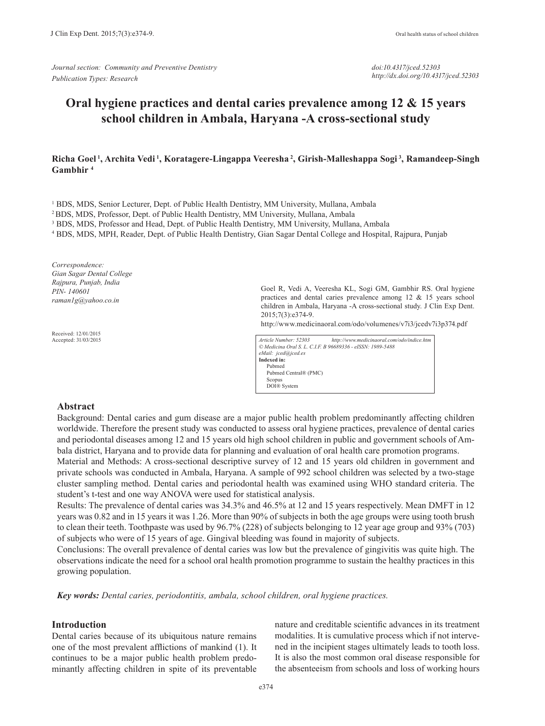*Journal section: Community and Preventive Dentistry Publication Types: Research*

*doi:10.4317/jced.52303 http://dx.doi.org/10.4317/jced.52303*

# **Oral hygiene practices and dental caries prevalence among 12 & 15 years school children in Ambala, Haryana -A cross-sectional study**

## **Richa Goel 1, Archita Vedi 1, Koratagere-Lingappa Veeresha 2, Girish-Malleshappa Sogi 3, Ramandeep-Singh Gambhir 4**

<sup>1</sup> BDS, MDS, Senior Lecturer, Dept. of Public Health Dentistry, MM University, Mullana, Ambala

2 BDS, MDS, Professor, Dept. of Public Health Dentistry, MM University, Mullana, Ambala

<sup>3</sup> BDS, MDS, Professor and Head, Dept. of Public Health Dentistry, MM University, Mullana, Ambala

4 BDS, MDS, MPH, Reader, Dept. of Public Health Dentistry, Gian Sagar Dental College and Hospital, Rajpura, Punjab

*Correspondence: Gian Sagar Dental College Rajpura, Punjab, India PIN- 140601 raman1g@yahoo.co.in*

Received: 12/01/2015 Accepted: 31/03/2015 Goel R, Vedi A, Veeresha KL, Sogi GM, Gambhir RS. Oral hygiene practices and dental caries prevalence among 12 & 15 years school children in Ambala, Haryana -A cross-sectional study. J Clin Exp Dent. 2015;7(3):e374-9.

http://www.medicinaoral.com/odo/volumenes/v7i3/jcedv7i3p374.pdf

*Article Number: 52303 http://www.medicinaoral.com/odo/indice.htm © Medicina Oral S. L. C.I.F. B 96689336 - eISSN: 1989-5488 eMail: jced@jced.es* **Indexed in:** Pubmed Pubmed Central® (PMC) Scopus DOI® System

#### **Abstract**

Background: Dental caries and gum disease are a major public health problem predominantly affecting children worldwide. Therefore the present study was conducted to assess oral hygiene practices, prevalence of dental caries and periodontal diseases among 12 and 15 years old high school children in public and government schools of Ambala district, Haryana and to provide data for planning and evaluation of oral health care promotion programs.

Material and Methods: A cross-sectional descriptive survey of 12 and 15 years old children in government and private schools was conducted in Ambala, Haryana. A sample of 992 school children was selected by a two-stage cluster sampling method. Dental caries and periodontal health was examined using WHO standard criteria. The student's t-test and one way ANOVA were used for statistical analysis.

Results: The prevalence of dental caries was 34.3% and 46.5% at 12 and 15 years respectively. Mean DMFT in 12 years was 0.82 and in 15 years it was 1.26. More than 90% of subjects in both the age groups were using tooth brush to clean their teeth. Toothpaste was used by 96.7% (228) of subjects belonging to 12 year age group and 93% (703) of subjects who were of 15 years of age. Gingival bleeding was found in majority of subjects.

Conclusions: The overall prevalence of dental caries was low but the prevalence of gingivitis was quite high. The observations indicate the need for a school oral health promotion programme to sustain the healthy practices in this growing population.

*Key words: Dental caries, periodontitis, ambala, school children, oral hygiene practices.*

## **Introduction**

Dental caries because of its ubiquitous nature remains one of the most prevalent afflictions of mankind (1). It continues to be a major public health problem predominantly affecting children in spite of its preventable

nature and creditable scientific advances in its treatment modalities. It is cumulative process which if not intervened in the incipient stages ultimately leads to tooth loss. It is also the most common oral disease responsible for the absenteeism from schools and loss of working hours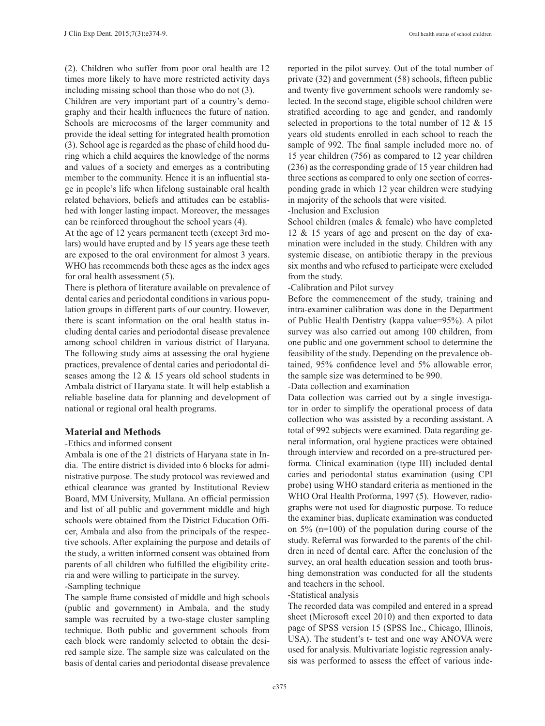(2). Children who suffer from poor oral health are 12 times more likely to have more restricted activity days including missing school than those who do not (3).

Children are very important part of a country's demography and their health influences the future of nation. Schools are microcosms of the larger community and provide the ideal setting for integrated health promotion (3). School age is regarded as the phase of child hood during which a child acquires the knowledge of the norms and values of a society and emerges as a contributing member to the community. Hence it is an influential stage in people's life when lifelong sustainable oral health related behaviors, beliefs and attitudes can be established with longer lasting impact. Moreover, the messages can be reinforced throughout the school years (4).

At the age of 12 years permanent teeth (except 3rd molars) would have erupted and by 15 years age these teeth are exposed to the oral environment for almost 3 years. WHO has recommends both these ages as the index ages for oral health assessment (5).

There is plethora of literature available on prevalence of dental caries and periodontal conditions in various population groups in different parts of our country. However, there is scant information on the oral health status including dental caries and periodontal disease prevalence among school children in various district of Haryana. The following study aims at assessing the oral hygiene practices, prevalence of dental caries and periodontal diseases among the 12 & 15 years old school students in Ambala district of Haryana state. It will help establish a reliable baseline data for planning and development of national or regional oral health programs.

### **Material and Methods**

#### -Ethics and informed consent

Ambala is one of the 21 districts of Haryana state in India. The entire district is divided into 6 blocks for administrative purpose. The study protocol was reviewed and ethical clearance was granted by Institutional Review Board, MM University, Mullana. An official permission and list of all public and government middle and high schools were obtained from the District Education Officer, Ambala and also from the principals of the respective schools. After explaining the purpose and details of the study, a written informed consent was obtained from parents of all children who fulfilled the eligibility criteria and were willing to participate in the survey.

# -Sampling technique

The sample frame consisted of middle and high schools (public and government) in Ambala, and the study sample was recruited by a two-stage cluster sampling technique. Both public and government schools from each block were randomly selected to obtain the desired sample size. The sample size was calculated on the basis of dental caries and periodontal disease prevalence reported in the pilot survey. Out of the total number of private (32) and government (58) schools, fifteen public and twenty five government schools were randomly selected. In the second stage, eligible school children were stratified according to age and gender, and randomly selected in proportions to the total number of 12 & 15 years old students enrolled in each school to reach the sample of 992. The final sample included more no. of 15 year children (756) as compared to 12 year children (236) as the corresponding grade of 15 year children had three sections as compared to only one section of corresponding grade in which 12 year children were studying in majority of the schools that were visited.

-Inclusion and Exclusion

School children (males & female) who have completed 12 & 15 years of age and present on the day of examination were included in the study. Children with any systemic disease, on antibiotic therapy in the previous six months and who refused to participate were excluded from the study.

-Calibration and Pilot survey

Before the commencement of the study, training and intra-examiner calibration was done in the Department of Public Health Dentistry (kappa value=95%). A pilot survey was also carried out among 100 children, from one public and one government school to determine the feasibility of the study. Depending on the prevalence obtained, 95% confidence level and 5% allowable error, the sample size was determined to be 990.

-Data collection and examination

Data collection was carried out by a single investigator in order to simplify the operational process of data collection who was assisted by a recording assistant. A total of 992 subjects were examined. Data regarding general information, oral hygiene practices were obtained through interview and recorded on a pre-structured performa. Clinical examination (type III) included dental caries and periodontal status examination (using CPI probe) using WHO standard criteria as mentioned in the WHO Oral Health Proforma, 1997 (5). However, radiographs were not used for diagnostic purpose. To reduce the examiner bias, duplicate examination was conducted on 5% (n=100) of the population during course of the study. Referral was forwarded to the parents of the children in need of dental care. After the conclusion of the survey, an oral health education session and tooth brushing demonstration was conducted for all the students and teachers in the school.

#### -Statistical analysis

The recorded data was compiled and entered in a spread sheet (Microsoft excel 2010) and then exported to data page of SPSS version 15 (SPSS Inc., Chicago, Illinois, USA). The student's t- test and one way ANOVA were used for analysis. Multivariate logistic regression analysis was performed to assess the effect of various inde-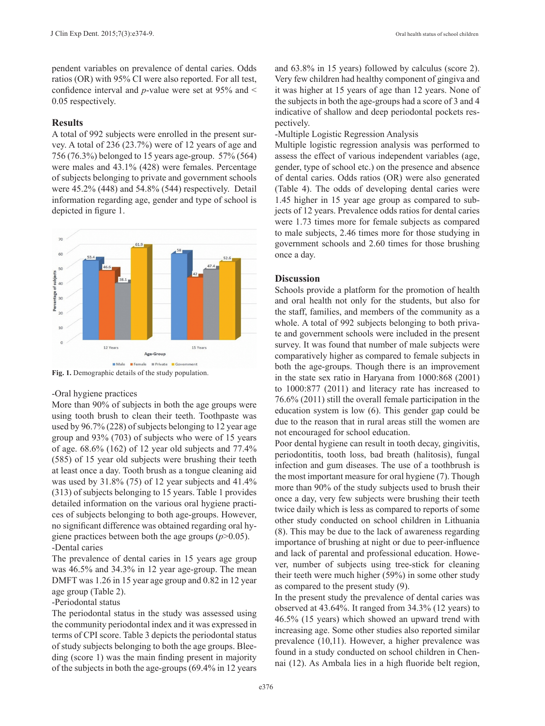pendent variables on prevalence of dental caries. Odds ratios (OR) with 95% CI were also reported. For all test, confidence interval and *p*-value were set at 95% and < 0.05 respectively.

#### **Results**

A total of 992 subjects were enrolled in the present survey. A total of 236 (23.7%) were of 12 years of age and 756 (76.3%) belonged to 15 years age-group. 57% (564) were males and 43.1% (428) were females. Percentage of subjects belonging to private and government schools were 45.2% (448) and 54.8% (544) respectively. Detail information regarding age, gender and type of school is depicted in figure 1.



**Fig. 1.** Demographic details of the study population.

#### -Oral hygiene practices

More than 90% of subjects in both the age groups were using tooth brush to clean their teeth. Toothpaste was used by 96.7% (228) of subjects belonging to 12 year age group and 93% (703) of subjects who were of 15 years of age. 68.6% (162) of 12 year old subjects and 77.4% (585) of 15 year old subjects were brushing their teeth at least once a day. Tooth brush as a tongue cleaning aid was used by 31.8% (75) of 12 year subjects and 41.4% (313) of subjects belonging to 15 years. Table 1 provides detailed information on the various oral hygiene practices of subjects belonging to both age-groups. However, no significant difference was obtained regarding oral hygiene practices between both the age groups (*p*>0.05). -Dental caries

The prevalence of dental caries in 15 years age group was 46.5% and 34.3% in 12 year age-group. The mean DMFT was 1.26 in 15 year age group and 0.82 in 12 year age group (Table 2).

# -Periodontal status

The periodontal status in the study was assessed using the community periodontal index and it was expressed in terms of CPI score. Table 3 depicts the periodontal status of study subjects belonging to both the age groups. Bleeding (score 1) was the main finding present in majority of the subjects in both the age-groups (69.4% in 12 years

and 63.8% in 15 years) followed by calculus (score 2). Very few children had healthy component of gingiva and it was higher at 15 years of age than 12 years. None of the subjects in both the age-groups had a score of 3 and 4 indicative of shallow and deep periodontal pockets respectively.

-Multiple Logistic Regression Analysis

Multiple logistic regression analysis was performed to assess the effect of various independent variables (age, gender, type of school etc.) on the presence and absence of dental caries. Odds ratios (OR) were also generated (Table 4). The odds of developing dental caries were 1.45 higher in 15 year age group as compared to subjects of 12 years. Prevalence odds ratios for dental caries were 1.73 times more for female subjects as compared to male subjects, 2.46 times more for those studying in government schools and 2.60 times for those brushing once a day.

## **Discussion**

Schools provide a platform for the promotion of health and oral health not only for the students, but also for the staff, families, and members of the community as a whole. A total of 992 subjects belonging to both private and government schools were included in the present survey. It was found that number of male subjects were comparatively higher as compared to female subjects in both the age-groups. Though there is an improvement in the state sex ratio in Haryana from 1000:868 (2001) to 1000:877 (2011) and literacy rate has increased to 76.6% (2011) still the overall female participation in the education system is low (6). This gender gap could be due to the reason that in rural areas still the women are not encouraged for school education.

Poor dental hygiene can result in tooth decay, gingivitis, periodontitis, tooth loss, bad breath (halitosis), fungal infection and gum diseases. The use of a toothbrush is the most important measure for oral hygiene (7). Though more than 90% of the study subjects used to brush their once a day, very few subjects were brushing their teeth twice daily which is less as compared to reports of some other study conducted on school children in Lithuania (8). This may be due to the lack of awareness regarding importance of brushing at night or due to peer-influence and lack of parental and professional education. However, number of subjects using tree-stick for cleaning their teeth were much higher (59%) in some other study as compared to the present study (9).

In the present study the prevalence of dental caries was observed at 43.64%. It ranged from 34.3% (12 years) to 46.5% (15 years) which showed an upward trend with increasing age. Some other studies also reported similar prevalence (10,11). However, a higher prevalence was found in a study conducted on school children in Chennai (12). As Ambala lies in a high fluoride belt region,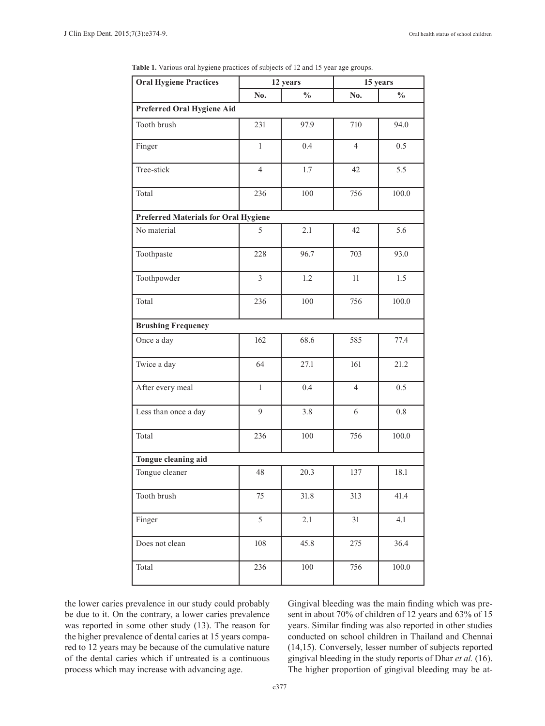| <b>Oral Hygiene Practices</b>               | 12 years       |               | 15 years       |               |  |
|---------------------------------------------|----------------|---------------|----------------|---------------|--|
|                                             | No.            | $\frac{0}{0}$ | No.            | $\frac{0}{0}$ |  |
| Preferred Oral Hygiene Aid                  |                |               |                |               |  |
| Tooth brush                                 | 231            | 97.9          | 710            | 94.0          |  |
| Finger                                      | $\mathbf{1}$   | 0.4           | $\overline{4}$ | 0.5           |  |
| Tree-stick                                  | $\overline{4}$ | 1.7           | 42             | 5.5           |  |
| Total                                       | 236            | 100           | 756            | 100.0         |  |
| <b>Preferred Materials for Oral Hygiene</b> |                |               |                |               |  |
| No material                                 | 5              | 2.1           | 42             | 5.6           |  |
| Toothpaste                                  | 228            | 96.7          | 703            | 93.0          |  |
| Toothpowder                                 | 3              | 1.2           | 11             | 1.5           |  |
| Total                                       | 236            | 100           | 756            | 100.0         |  |
| <b>Brushing Frequency</b>                   |                |               |                |               |  |
| Once a day                                  | 162            | 68.6          | 585            | 77.4          |  |
| Twice a day                                 | 64             | 27.1          | 161            | 21.2          |  |
| After every meal                            | $\mathbf{1}$   | 0.4           | $\overline{4}$ | 0.5           |  |
| Less than once a day                        | 9              | 3.8           | 6              | 0.8           |  |
| Total                                       | 236            | 100           | 756            | 100.0         |  |
| Tongue cleaning aid                         |                |               |                |               |  |
| Tongue cleaner                              | 48             | 20.3          | 137            | 18.1          |  |
| Tooth brush                                 | 75             | $31.8\,$      | 313            | 41.4          |  |
| Finger                                      | 5              | 2.1           | 31             | 4.1           |  |
| Does not clean                              | 108            | 45.8          | 275            | 36.4          |  |
| Total                                       | 236            | 100           | 756            | $100.0\,$     |  |

**Table 1.** Various oral hygiene practices of subjects of 12 and 15 year age groups.

the lower caries prevalence in our study could probably be due to it. On the contrary, a lower caries prevalence was reported in some other study (13). The reason for the higher prevalence of dental caries at 15 years compared to 12 years may be because of the cumulative nature of the dental caries which if untreated is a continuous process which may increase with advancing age.

Gingival bleeding was the main finding which was present in about 70% of children of 12 years and 63% of 15 years. Similar finding was also reported in other studies conducted on school children in Thailand and Chennai (14,15). Conversely, lesser number of subjects reported gingival bleeding in the study reports of Dhar *et al.* (16). The higher proportion of gingival bleeding may be at-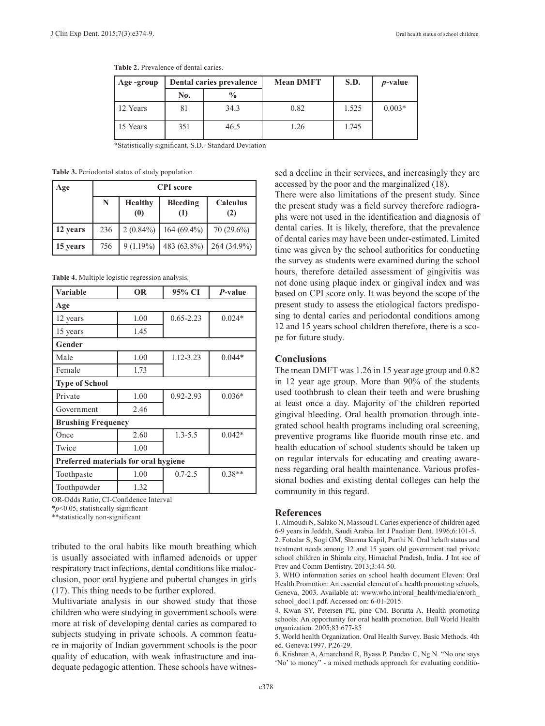| Age-group | Dental caries prevalence |               | <b>Mean DMFT</b> | S.D.  | $p$ -value |
|-----------|--------------------------|---------------|------------------|-------|------------|
|           | No.                      | $\frac{0}{0}$ |                  |       |            |
| 12 Years  | 81                       | 34.3          | 0.82             | 1.525 | $0.003*$   |
| 15 Years  | 351                      | 46.5          | 1.26             | 1.745 |            |

**Table 2.** Prevalence of dental caries.

\*Statistically significant, S.D.- Standard Deviation

**Table 3.** Periodontal status of study population.

| Age      | <b>CPI</b> score |                                     |                 |                                     |
|----------|------------------|-------------------------------------|-----------------|-------------------------------------|
|          | N                | <b>Healthy</b><br>$\left( 0\right)$ | Bleeding<br>(1) | Calculus<br>(2)                     |
| 12 years | 236              | $2(0.84\%)$                         | $164(69.4\%)$   | $70(29.6\%)$                        |
| 15 years | 756              | $9(1.19\%)$                         | 483 (63.8%)     | $\left( \frac{264}{34.9\%} \right)$ |

**Table 4.** Multiple logistic regression analysis.

| <b>Variable</b>                      | <b>OR</b> | 95% CI        | <i>P</i> -value |  |  |
|--------------------------------------|-----------|---------------|-----------------|--|--|
| Age                                  |           |               |                 |  |  |
| 12 years                             | 1.00      | $0.65 - 2.23$ | $0.024*$        |  |  |
| 15 years                             | 1.45      |               |                 |  |  |
| Gender                               |           |               |                 |  |  |
| Male                                 | 1.00      | 1.12-3.23     | $0.044*$        |  |  |
| Female                               | 1.73      |               |                 |  |  |
| <b>Type of School</b>                |           |               |                 |  |  |
| Private                              | 1.00      | $0.92 - 2.93$ | $0.036*$        |  |  |
| Government                           | 2.46      |               |                 |  |  |
| <b>Brushing Frequency</b>            |           |               |                 |  |  |
| Once                                 | 2.60      | $1.3 - 5.5$   | $0.042*$        |  |  |
| Twice                                | 1.00      |               |                 |  |  |
| Preferred materials for oral hygiene |           |               |                 |  |  |
| Toothpaste                           | 1.00      | $0.7 - 2.5$   | $0.38**$        |  |  |
| Toothpowder                          | 1.32      |               |                 |  |  |

OR-Odds Ratio, CI-Confidence Interval

\**p*<0.05, statistically significant

\*\*statistically non-significant

tributed to the oral habits like mouth breathing which is usually associated with inflamed adenoids or upper respiratory tract infections, dental conditions like malocclusion, poor oral hygiene and pubertal changes in girls (17). This thing needs to be further explored.

Multivariate analysis in our showed study that those children who were studying in government schools were more at risk of developing dental caries as compared to subjects studying in private schools. A common feature in majority of Indian government schools is the poor quality of education, with weak infrastructure and inadequate pedagogic attention. These schools have witnessed a decline in their services, and increasingly they are accessed by the poor and the marginalized (18).

There were also limitations of the present study. Since the present study was a field survey therefore radiographs were not used in the identification and diagnosis of dental caries. It is likely, therefore, that the prevalence of dental caries may have been under-estimated. Limited time was given by the school authorities for conducting the survey as students were examined during the school hours, therefore detailed assessment of gingivitis was not done using plaque index or gingival index and was based on CPI score only. It was beyond the scope of the present study to assess the etiological factors predisposing to dental caries and periodontal conditions among 12 and 15 years school children therefore, there is a scope for future study.

# **Conclusions**

The mean DMFT was 1.26 in 15 year age group and 0.82 in 12 year age group. More than 90% of the students used toothbrush to clean their teeth and were brushing at least once a day. Majority of the children reported gingival bleeding. Oral health promotion through integrated school health programs including oral screening, preventive programs like fluoride mouth rinse etc. and health education of school students should be taken up on regular intervals for educating and creating awareness regarding oral health maintenance. Various professional bodies and existing dental colleges can help the community in this regard.

### **References**

1. Almoudi N, Salako N, Massoud I. Caries experience of children aged 6-9 years in Jeddah, Saudi Arabia. Int J Paediatr Dent. 1996;6:101-5. 2. Fotedar S, Sogi GM, Sharma Kapil, Purthi N. Oral helath status and

treatment needs among 12 and 15 years old government nad private school children in Shimla city, Himachal Pradesh, India. J Int soc of Prev and Comm Dentistry. 2013;3:44-50.

3. WHO information series on school health document Eleven: Oral Health Promotion: An essential element of a health promoting schools, Geneva, 2003. Available at: www.who.int/oral\_health/media/en/orh\_ school\_doc11.pdf. Accessed on: 6-01-2015.

4. Kwan SY, Petersen PE, pine CM. Borutta A. Health promoting schools: An opportunity for oral health promotion. Bull World Health organization. 2005;83:677-85

5. World health Organization. Oral Health Survey. Basic Methods. 4th ed. Geneva:1997. P.26-29.

6. Krishnan A, Amarchand R, Byass P, Pandav C, Ng N. "No one says 'No' to money" - a mixed methods approach for evaluating conditio